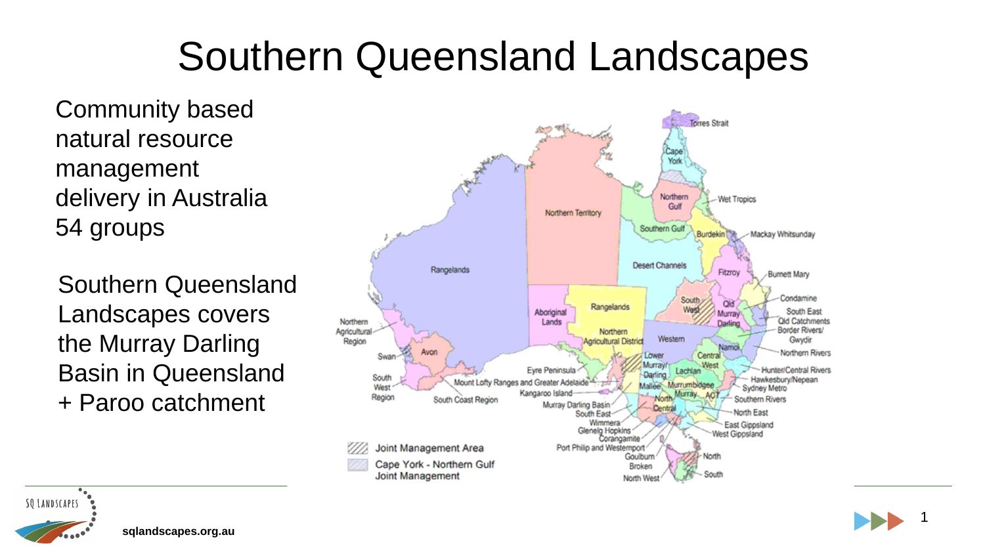#### Southern Queensland Landscapes

Community based natural resource management delivery in Australia 54 groups

Southern Queensland Landscapes covers the Murray Darling Basin in Queensland + Paroo catchment

**sqlandscapes.org.au**





1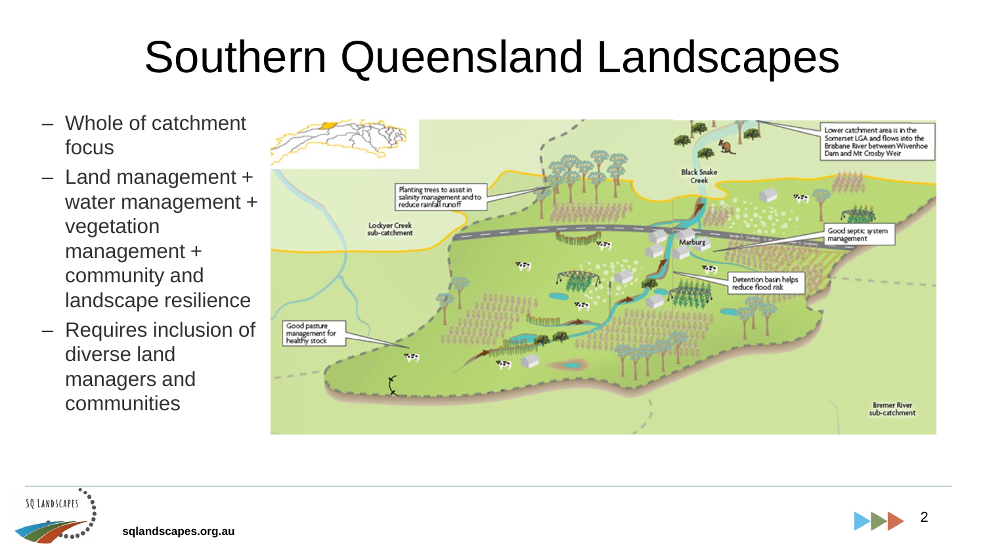## Southern Queensland Landscapes

- Whole of catchment focus
- Land management + water management + vegetation management + community and landscape resilience
- Requires inclusion of diverse land managers and communities



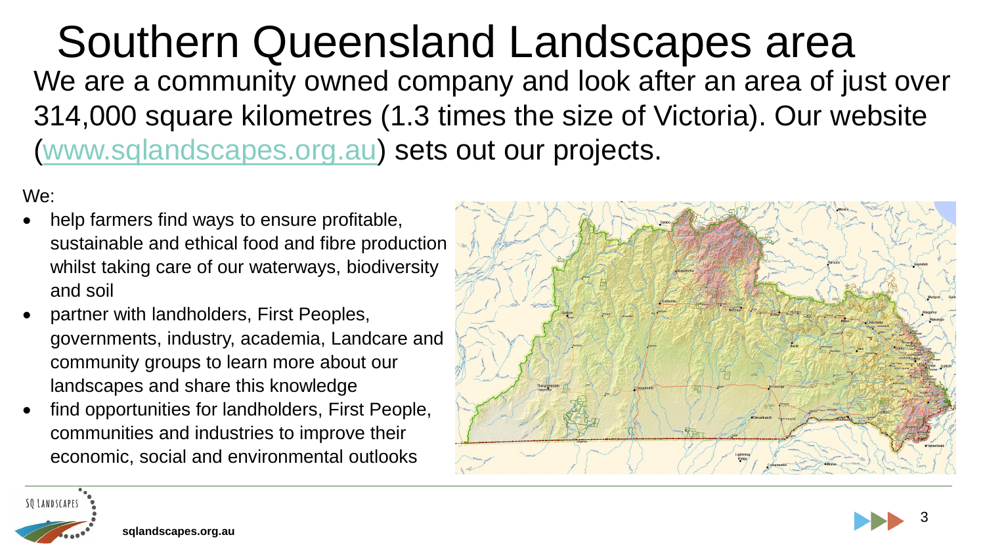Southern Queensland Landscapes area We are a community owned company and look after an area of just over 314,000 square kilometres (1.3 times the size of Victoria). Our website (www.sqlandscapes.org.au) sets out our projects.

We:

- help farmers find ways to ensure profitable, sustainable and ethical food and fibre production whilst taking care of our waterways, biodiversity and soil
- partner with landholders, First Peoples, governments, industry, academia, Landcare and community groups to learn more about our landscapes and share this knowledge
- find opportunities for landholders, First People, communities and industries to improve their economic, social and environmental outlooks





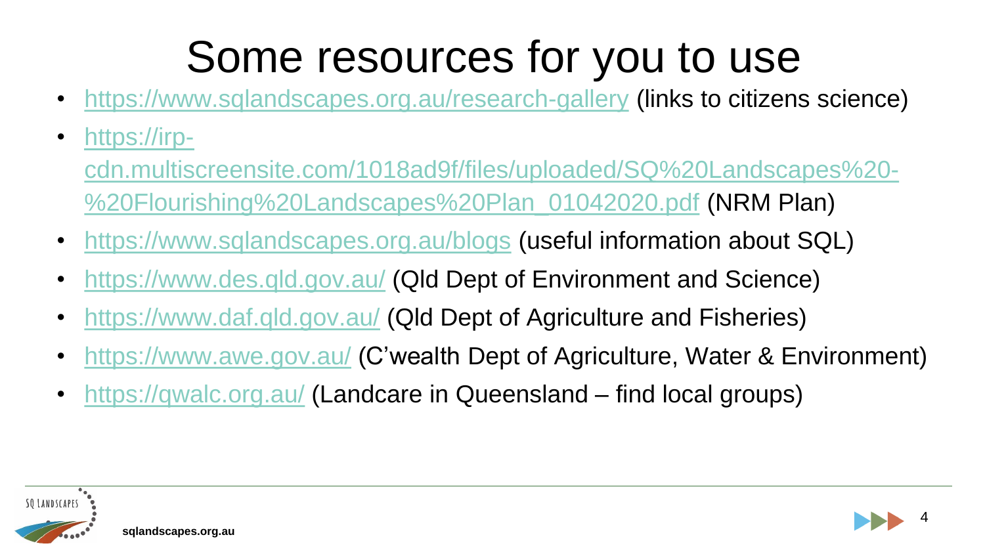# Some resources for you to use

- https://www.sqlandscapes.org.au/research-gallery (links to citizens science)
- https://irp
	- cdn.multiscreensite.com/1018ad9f/files/uploaded/SQ%20Landscapes%20- %20Flourishing%20Landscapes%20Plan\_01042020.pdf (NRM Plan)
- https://www.sqlandscapes.org.au/blogs (useful information about SQL)
- https://www.des.qld.gov.au/ (Qld Dept of Environment and Science)
- https://www.daf.qld.gov.au/ (Qld Dept of Agriculture and Fisheries)
- https://www.awe.gov.au/ (C'wealth Dept of Agriculture, Water & Environment)
- https://qwalc.org.au/ (Landcare in Queensland find local groups)